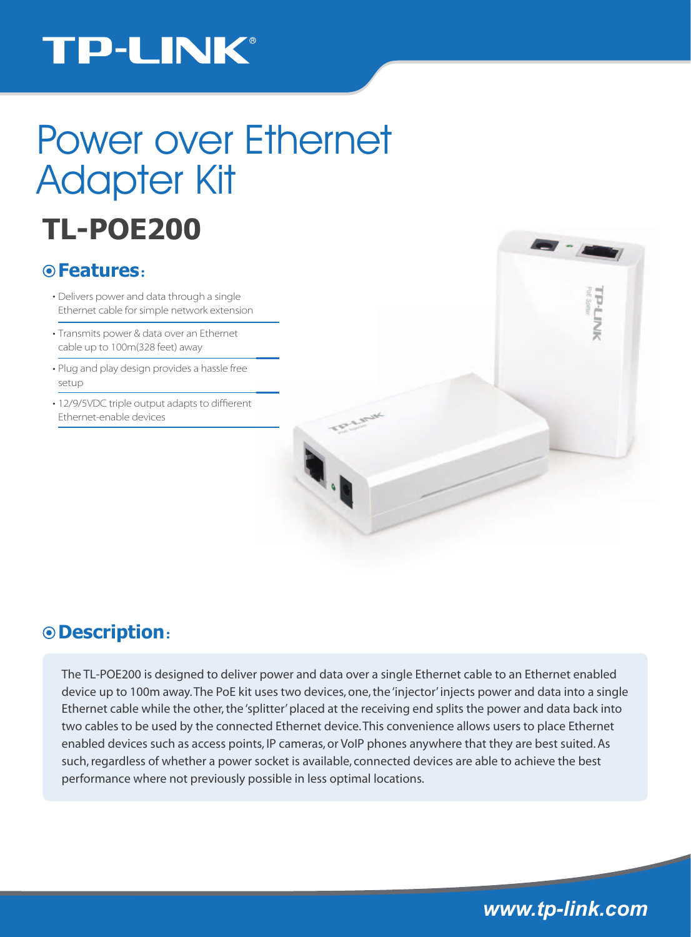## **TP-LINK®**

# Power over Ethernet Adapter Kit

# **TL-POE200**

### **Features**:

- Delivers power and data through a single Ethernet cable for simple network extension
- Transmits power & data over an Ethernet cable up to 100m(328 feet) away
- Plug and play design provides a hassle free setup
- 12/9/5VDC triple output adapts to diffierent Ethernet-enable devices



### **Description**:

The TL-POE200 is designed to deliver power and data over a single Ethernet cable to an Ethernet enabled device up to 100m away. The PoE kit uses two devices, one, the 'injector' injects power and data into a single Ethernet cable while the other, the 'splitter' placed at the receiving end splits the power and data back into two cables to be used by the connected Ethernet device. This convenience allows users to place Ethernet enabled devices such as access points, IP cameras, or VoIP phones anywhere that they are best suited. As such, regardless of whether a power socket is available, connected devices are able to achieve the best performance where not previously possible in less optimal locations.

*www.tp-link.com*